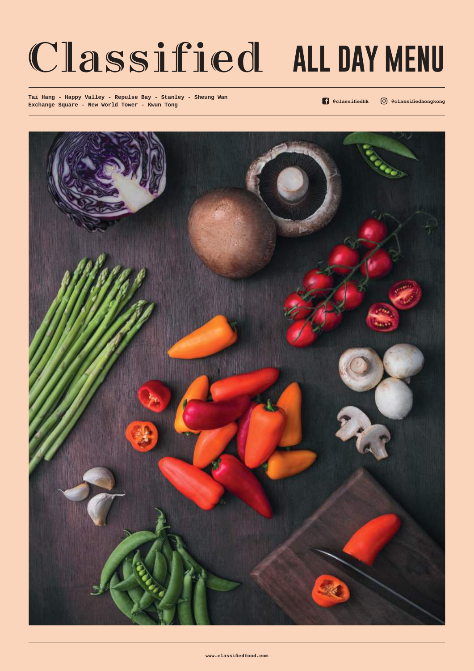# Classified ALL DAY MENU

**Tai Hang - Happy Valley - Repulse Bay - Stanley - Sheung Wan Exchange Square - New World Tower - Kwun Tong**

**@classifiedhk @classifiedhongkong**



**www.classifiedfood.com**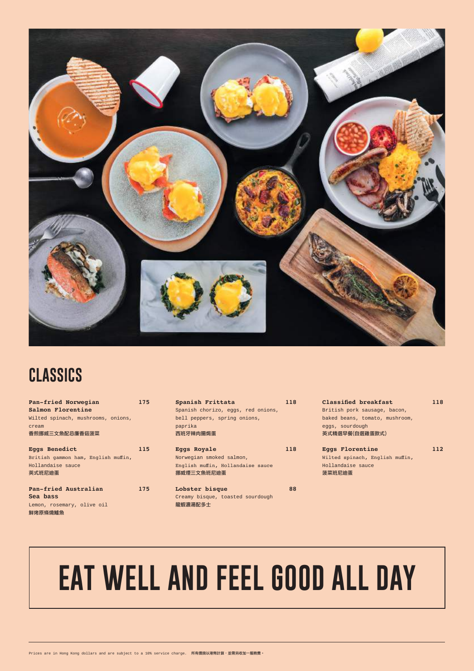| Pan-fried Norwegian                 | 175 |  |  |  |  |
|-------------------------------------|-----|--|--|--|--|
| Salmon Florentine                   |     |  |  |  |  |
| Wilted spinach, mushrooms, onions,  |     |  |  |  |  |
| cream                               |     |  |  |  |  |
| 香煎挪威三文魚配忌廉香菇菠菜                      |     |  |  |  |  |
|                                     |     |  |  |  |  |
| <b>Eggs Benedict</b>                | 115 |  |  |  |  |
| British gammon ham, English muffin, |     |  |  |  |  |
| Hollandaise sauce                   |     |  |  |  |  |
| 英式班尼迪蛋                              |     |  |  |  |  |

| Pan-fried Australian       | 175 |
|----------------------------|-----|
| Sea bass                   |     |
| Lemon, rosemary, olive oil |     |

#### 鮮烤原條燒鱸魚

| Spanish Frittata                   | 118 |
|------------------------------------|-----|
| Spanish chorizo, eggs, red onions, |     |
| bell peppers, spring onions,       |     |
| paprika<br>西班牙辣肉腸焗蛋                |     |
| <b>Eggs Royale</b>                 | 118 |

| ____                              |  |
|-----------------------------------|--|
| Norwegian smoked salmon,          |  |
| English muffin, Hollandaise sauce |  |
| 挪威煙三文魚班尼迪蛋                        |  |

| <b>Lobster bisque</b> |  |                                  | 88 |
|-----------------------|--|----------------------------------|----|
|                       |  | Creamy bisque, toasted sourdough |    |
| 龍蝦濃湯配多士               |  |                                  |    |

**Classified breakfast 118** British pork sausage, bacon, baked beans, tomato, mushroom, eggs, sourdough 英式精選早餐(自選雞蛋款式)

| <b>Eggs Florentine</b>          | 112 |
|---------------------------------|-----|
| Wilted spinach, English muffin, |     |
| Hollandaise sauce               |     |
| 菠菜班尼迪蛋                          |     |



### **CLASSICS**

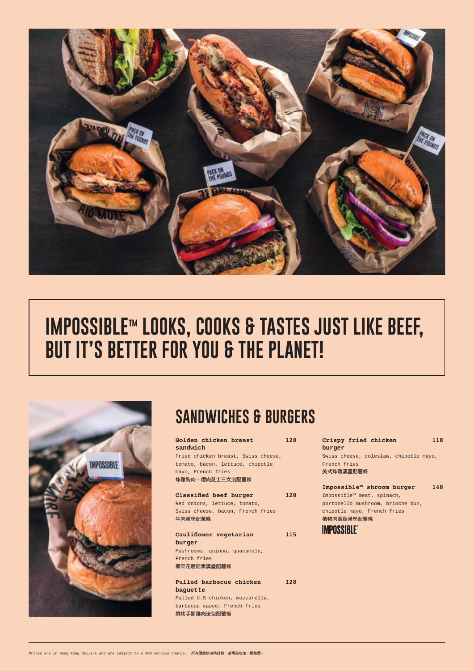| Golden chicken breast<br>128        |  |  |  |
|-------------------------------------|--|--|--|
| sandwich                            |  |  |  |
| Fried chicken breast, Swiss cheese, |  |  |  |
| tomato, bacon, lettuce, chipotle    |  |  |  |
| mayo, French fries                  |  |  |  |

#### 炸雞胸肉、煙肉芝士三文治配薯條

**Classified beef burger 128** Red onions, lettuce, tomato,

Swiss cheese, bacon, French fries 牛肉漢堡配薯條

**Cauliflower vegetarian 115 burger**  Mushrooms, quinoa, guacamole, French fries

椰菜花蘑菇素漢堡配薯條

**Pulled barbecue chicken 128 baguette** Pulled U.S chicken, mozzarella, barbecue sauce, French fries 燒烤手撕雞肉法包配薯條

**Crispy fried chicken 118 burger**  Swiss cheese, coleslaw, chipotle mayo, French fries 美式炸雞漢堡配薯條

**Impossible™ shroom burger 148** Impossible™ meat, spinach, portobello mushroom, brioche bun,

chipotle mayo, French fries

植物肉蘑菇漢堡配薯條



Prices are in Hong Kong dollars and are subject to a 10% service charge. 所有價錢以港幣計算,並需另收加一服務費。

### **SANDWICHES & BURGERS**



# **IMPOSSIBLE™ LOOKS, COOKS & TASTES JUST LIKE BEEF, BUT IT'S BETTER FOR YOU & THE PLANET!**

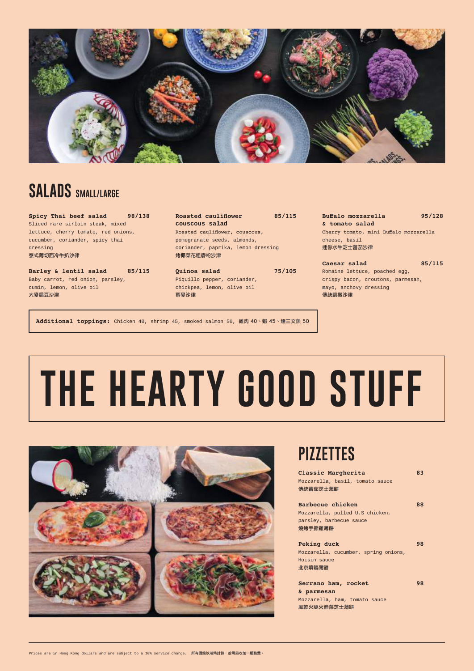# **THE HEARTY GOOD STUFF**





### **SALADS SMALL/LARGE**

**Spicy Thai beef salad 98/138** Sliced rare sirloin steak, mixed lettuce, cherry tomato, red onions, cucumber, coriander, spicy thai dressing 泰式薄切西冷牛扒沙律

Roasted cauliflower 85/115 **couscous salad** Roasted cauliflower, couscous, pomegranate seeds, almonds, coriander, paprika, lemon dressing 烤椰菜花粗麥粉沙津

**Barley & lentil salad 85/115** Baby carrot, red onion, parsley, cumin, lemon, olive oil 大麥扁豆沙津

Caesar salad 85/115 Romaine lettuce, poached egg, crispy bacon, croutons, parmesan, mayo, anchovy dressing 傳統凱撒沙律

**Quinoa salad 75/105** Piquillo pepper, coriander, chickpea, lemon, olive oil 藜麥沙律

**Buffalo mozzarella 95/128 & tomato salad** Cherry tomato, mini Buffalo mozzarella cheese, basil 迷你水牛芝士蕃茄沙律

### **PIZZETTES**

**Classic Margherita 83** Mozzarella, basil, tomato sauce 傳統蕃茄芝士薄餅

**Barbecue chicken 88**

Mozzarella, pulled U.S chicken, parsley, barbecue sauce 燒烤手撕雞薄餅

#### **Peking duck 98**

Mozzarella, cucumber, spring onions, Hoisin sauce 北京填鴨薄餅

| Serrano ham, rocket |                               | 98 |
|---------------------|-------------------------------|----|
| & parmesan          |                               |    |
|                     | Mozzarella, ham, tomato sauce |    |
| 風乾火腿火箭菜芝士薄餅         |                               |    |

Prices are in Hong Kong dollars and are subject to a 10% service charge. 所有價錢以港幣計算,並需另收加一服務費。

**Additional toppings:** Chicken 40, shrimp 45, smoked salmon 50, 雞肉 40、蝦 45、煙三文魚 50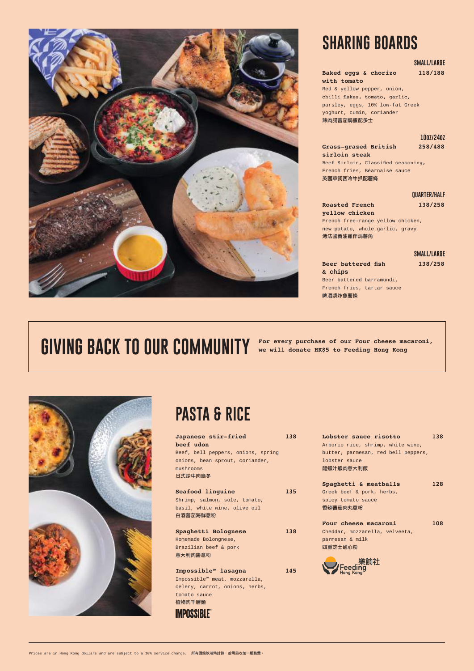### **PASTA & RICE**

| Japanese stir-fried                | 138 |  |  |  |  |
|------------------------------------|-----|--|--|--|--|
| beef udon                          |     |  |  |  |  |
| Beef, bell peppers, onions, spring |     |  |  |  |  |
| onions, bean sprout, coriander,    |     |  |  |  |  |
| mushrooms                          |     |  |  |  |  |
| 日式炒牛肉烏冬                            |     |  |  |  |  |
|                                    |     |  |  |  |  |
| Seafood linguine<br>135            |     |  |  |  |  |

Impossible™ meat, mozzarella, celery, carrot, onions, herbs, tomato sauce 植物肉千層麵 **IMPOSSIBLE** 

Shrimp, salmon, sole, tomato,

basil, white wine, olive oil 白酒蕃茄海鮮意粉

**Spaghetti Bolognese 138** Homemade Bolongnese, Brazilian beef & pork 意大利肉醬意粉

**Impossible™ lasagna 145**

| Lobster sauce risotto               | 138 |
|-------------------------------------|-----|
| Arborio rice, shrimp, white wine,   |     |
| butter, parmesan, red bell peppers, |     |
| lobster sauce                       |     |
| 龍蝦汁蝦肉意大利飯                           |     |
|                                     |     |

|  |  |  | Spaghetti & meatballs | 128 |
|--|--|--|-----------------------|-----|
|  |  |  |                       |     |

Roasted French 138/258 **yellow chicken** French free-range yellow chicken, new potato, whole garlic, gravy

Greek beef & pork, herbs, spicy tomato sauce

香辣蕃茄肉丸意粉

**Four cheese macaroni 108** Cheddar, mozzarella, velveeta,

parmesan & milk 四重芝士通心粉



Prices are in Hong Kong dollars and are subject to a 10% service charge. 所有價錢以港幣計算,並需另收加一服務費。

### **SMALL/LARGE**

#### **Baked eggs & chorizo 118/188 with tomato**  Red & yellow pepper, onion, chilli flakes, tomato, garlic, parsley, eggs, 10% low-fat Greek yoghurt, cumin, coriander

辣肉腸蕃茄焗蛋配多士

**10oz/24oz**

**Grass-grazed British 258/488 sirloin steak**  Beef Sirloin, Classified seasoning, French fries, Béarnaise sauce 英國草飼西冷牛扒配薯條

#### **QUARTER/HALF**

烤法國黃油雞伴焗薯角

**SMALL/LARGE**

**Beer battered fish 138/258 & chips**  Beer battered barramundi, French fries, tartar sauce 啤酒漿炸魚薯條

## GIVING BACK TO OUR COMMUNITY For every purchase of our Four cheese macaroni,





### **SHARING BOARDS**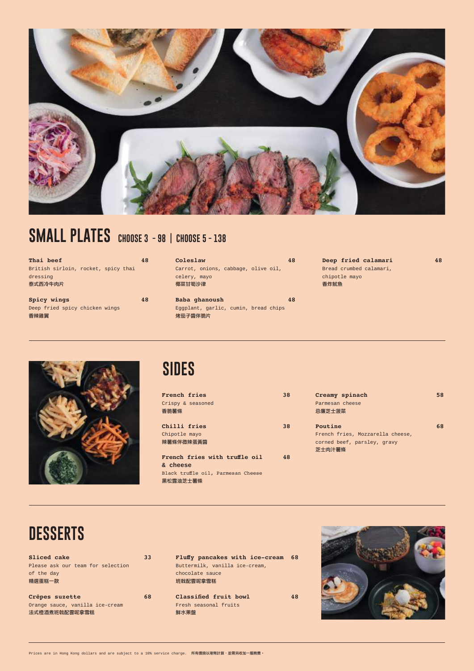### **DESSERTS**

Sliced cake 33 Please ask our team for selection of the day 精選蛋糕一款

**Crêpes suzette 68** Orange sauce, vanilla ice-cream 法式橙酒煮班戟配雲呢拿雪糕

**Fluffy pancakes with ice-cream 68** Buttermilk, vanilla ice-cream, chocolate sauce 班戟配雲呢拿雪糕

**Classified fruit bowl 48** Fresh seasonal fruits 鮮水果盤



Prices are in Hong Kong dollars and are subject to a 10% service charge. 所有價錢以港幣計算,並需另收加一服務費。

### **SIDES**

| French fries<br>Crispy & seasoned<br>香脆薯條                                                   | 38 |
|---------------------------------------------------------------------------------------------|----|
| Chilli fries<br>Chipotle mayo<br>辣薯條伴微辣蛋黃醬                                                  | 38 |
| French fries with truffle oil<br>& cheese<br>Black truffle oil, Parmesan Cheese<br>黑松露油芝士薯條 | 48 |

| Creamy spinach                   | 58 |
|----------------------------------|----|
| Parmesan cheese                  |    |
| 忌廉芝士菠菜                           |    |
|                                  |    |
| Poutine                          | 68 |
| French fries, Mozzarella cheese, |    |
| corned beef, parsley, gravy      |    |
| 芝士肉汁薯條                           |    |
|                                  |    |
|                                  |    |



### **SMALL PLATES CHOOSE 3 - 98 | CHOOSE 5 - 138**

| Thai beef                           | 48 |
|-------------------------------------|----|
| British sirloin, rocket, spicy thai |    |
| dressing<br>泰式西冷牛肉片                 |    |
| Spicy wings                         | 48 |
| Deep fried spicy chicken wings      |    |

香辣雞翼

| Coleslaw               |  |                                     |  |  |  |
|------------------------|--|-------------------------------------|--|--|--|
|                        |  | Carrot, onions, cabbage, olive oil, |  |  |  |
| celery, mayo<br>椰菜甘筍沙律 |  |                                     |  |  |  |

**Baba ghanoush 48** Eggplant, garlic, cumin, bread chips 烤茄子醬伴脆片

**Deep fried calamari 48** Bread crumbed calamari, chipotle mayo 香炸魷魚

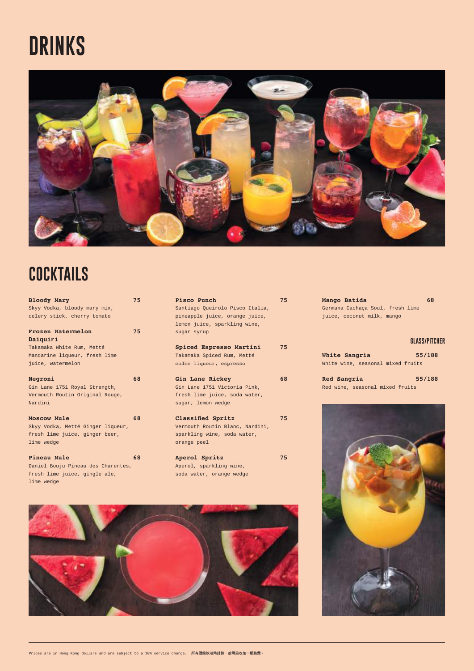## **COCKTAILS**

| <b>Bloody Mary</b>                 | 75 |
|------------------------------------|----|
| Skyy Vodka, bloody mary mix,       |    |
| celery stick, cherry tomato        |    |
| <b>Frozen Watermelon</b>           | 75 |
| Daiquiri                           |    |
| Takamaka White Rum, Metté          |    |
| Mandarine liqueur, fresh lime      |    |
| juice, watermelon                  |    |
| Negroni                            | 68 |
| Gin Lane 1751 Royal Strength,      |    |
| Vermouth Routin Original Rouge,    |    |
| Nardini                            |    |
| <b>Moscow Mule</b>                 | 68 |
| Skyy Vodka, Metté Ginger liqueur,  |    |
| fresh lime juice, ginger beer,     |    |
| lime wedge                         |    |
| Pineau Mule                        | 68 |
| Daniel Bouju Pineau des Charentes, |    |
| fresh lime juice, gingle ale,      |    |

| Pisco Punch                     | 5  |
|---------------------------------|----|
| Santiago Queirolo Pisco Italia, |    |
| pineapple juice, orange juice,  |    |
| lemon juice, sparkling wine,    |    |
| sugar syrup                     |    |
|                                 |    |
| Spiced Espresso Martini         | 75 |

| Takamaka Spiced Rum, Metté |  |
|----------------------------|--|
| coffee liqueur, espresso   |  |



Prices are in Hong Kong dollars and are subject to a 10% service charge. 所有價錢以港幣計算,並需另收加一服務費。

```
Gin Lane Rickey 68
Gin Lane 1751 Victoria Pink, 
fresh lime juice, soda water,
sugar, lemon wedge
```

| <b>Aperol Spritz</b>    |  |
|-------------------------|--|
| perol, sparkling wine,  |  |
| oda water. orange wedge |  |

**Mango Batida 68** Germana Cachaça Soul, fresh lime juice, coconut milk, mango

### **GLASS/PITCHER**

| White Sangria |                                   | 55/188 |
|---------------|-----------------------------------|--------|
|               | White wine, seasonal mixed fruits |        |

| Red Sangria |                                 | 55/188 |
|-------------|---------------------------------|--------|
|             | Red wine, seasonal mixed fruits |        |

# **DRINKS**

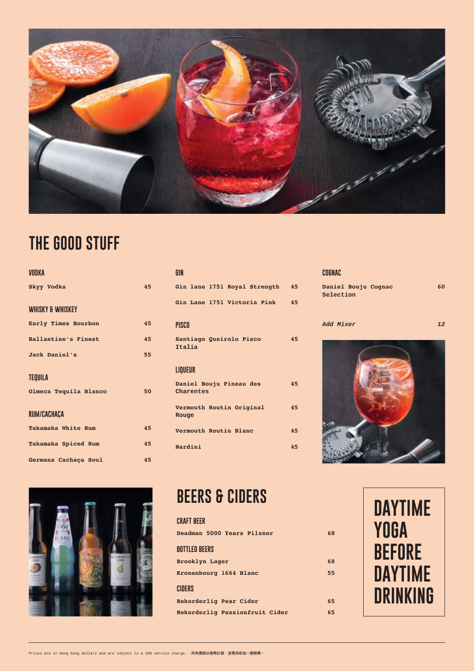### **BEERS & CIDERS**

### **CRAFT BEER**

| Deadman 5000 Years Pilsner     | 68 |
|--------------------------------|----|
| <b>BOTTLED BEERS</b>           |    |
| Brooklyn Lager                 | 68 |
| Kronenbourg 1664 Blanc         | 55 |
| <b>CIDERS</b>                  |    |
| Rekorderlig Pear Cider         | 65 |
| Rekorderlig Passionfruit Cider | 65 |



### **THE GOOD STUFF**

| <b>VODKA</b>                |    |
|-----------------------------|----|
| Skyy Vodka                  | 45 |
| <b>WHISKY &amp; WHISKEY</b> |    |
| Early Times Bourbon         | 45 |
| <b>Ballantine's Finest</b>  | 45 |
| Jack Daniel's               | 55 |
| <b>TEQUILA</b>              |    |
| Olmeca Tequila Blanco       | 50 |
| RUM/CACHACA                 |    |
| Takamaka White Rum          | 45 |
| Takamaka Spiced Rum         | 45 |
| Germana Cachaça Soul        | 45 |

| GIN |  |                              |    |
|-----|--|------------------------------|----|
|     |  | Gin lane 1751 Royal Strength | 45 |
|     |  | Gin Lane 1751 Victoria Pink  | 45 |

**PISCO**

**Santiago Queirolo Pisco 45 Italia**

### **LIQUEUR**

| Daniel Bouju Pineau des<br>Charentes | 45 |
|--------------------------------------|----|
| Vermouth Routin Original<br>Rouge    | 45 |
| Vermouth Routin Blanc                | 45 |
| Nardini                              |    |

### **COGNAC**

| Daniel Bouju Cognac | 60 |
|---------------------|----|
| Selection           |    |







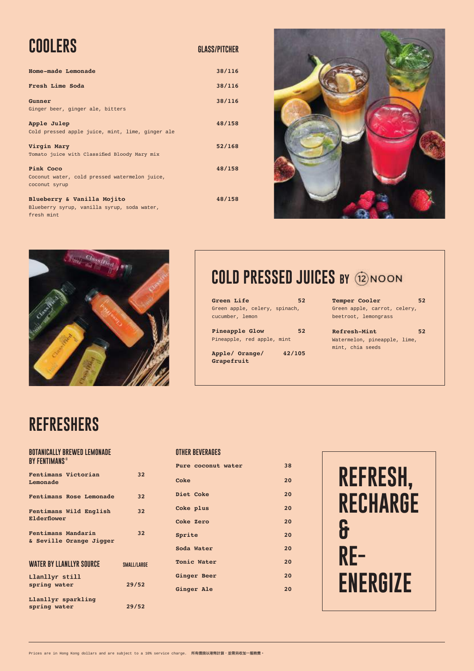### **REFRESHERS**

#### **BOTANICALLY BREWED LEMONADE BY FENTIMANS ©**

| Fentimans Victorian<br>Lemonade               | 32                 |
|-----------------------------------------------|--------------------|
| <b>Fentimans Rose Lemonade</b>                | 32                 |
| Fentimans Wild English<br>Elderflower         | 32                 |
| Fentimans Mandarin<br>& Seville Orange Jigger | 32                 |
| <b>WATER BY LLANLLYR SOURCE</b>               | <b>SMALL/LARGE</b> |
| Llanllyr still<br>spring water                | 29/52              |
| Llanllyr sparkling<br>spring water            | 29/52              |

### **OTHER BEVERAGES**

| Pure coconut water | 38 |
|--------------------|----|
| Coke               | 20 |
| <b>Diet Coke</b>   | 20 |
| Coke plus          | 20 |
| <b>Coke Zero</b>   | 20 |
| Sprite             | 20 |
| Soda Water         | 20 |
| <b>Tonic Water</b> | 20 |
| <b>Ginger Beer</b> | 20 |
| <b>Ginger Ale</b>  | 20 |
|                    |    |

| COOLERS                                                                                 | <b>GLASS/PITCHER</b> |
|-----------------------------------------------------------------------------------------|----------------------|
| Home-made Lemonade                                                                      | 38/116               |
| Fresh Lime Soda                                                                         | 38/116               |
| Gunner<br>Ginger beer, ginger ale, bitters                                              | 38/116               |
| Apple Julep<br>Cold pressed apple juice, mint, lime, ginger ale                         | 48/158               |
| Virgin Mary<br>Tomato juice with Classified Bloody Mary mix                             | 52/168               |
| Pink Coco<br>Coconut water, cold pressed watermelon juice,<br>coconut syrup             | 48/158               |
| Blueberry & Vanilla Mojito<br>Blueberry syrup, vanilla syrup, soda water,<br>fresh mint | 48/158               |





### **COLD PRESSED JUICES BY**

**Green Life 52** Green apple, celery, spinach, cucumber, lemon

**Pineapple Glow 52** Pineapple, red apple, mint

**Apple/ Orange/ 42/105 Grapefruit**

**Temper Cooler 52** Green apple, carrot, celery, beetroot, lemongrass

**Refresh-Mint 52** Watermelon, pineapple, lime, mint, chia seeds

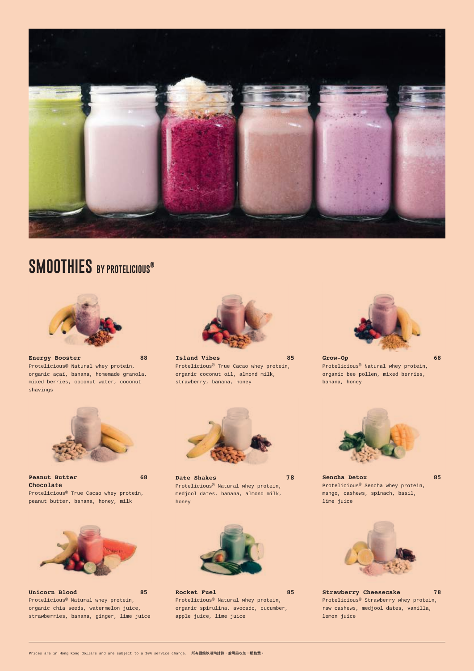**Energy Booster 88** Protelicious® Natural whey protein, organic açaí, banana, homemade granola, mixed berries, coconut water, coconut shavings



**Island Vibes 85** Protelicious® True Cacao whey protein, organic coconut oil, almond milk, strawberry, banana, honey





**Peanut Butter 68 Chocolate** Protelicious® True Cacao whey protein, peanut butter, banana, honey, milk

**Grow-Op 68** Protelicious® Natural whey protein, organic bee pollen, mixed berries, banana, honey



**Date Shakes 78** Protelicious® Natural whey protein, medjool dates, banana, almond milk, honey



**Sencha Detox 85** Protelicious® Sencha whey protein, mango, cashews, spinach, basil, lime juice







#### **Unicorn Blood 85**

Protelicious® Natural whey protein, organic chia seeds, watermelon juice, strawberries, banana, ginger, lime juice

#### Rocket Fuel **85**

#### Protelicious® Natural whey protein, organic spirulina, avocado, cucumber, apple juice, lime juice

#### **Strawberry Cheesecake 78**

Protelicious® Strawberry whey protein, raw cashews, medjool dates, vanilla, lemon juice

Prices are in Hong Kong dollars and are subject to a 10% service charge. 所有價錢以港幣計算,並需另收加一服務費。



### **SMOOTHIES BY PROTELICIOUS®**

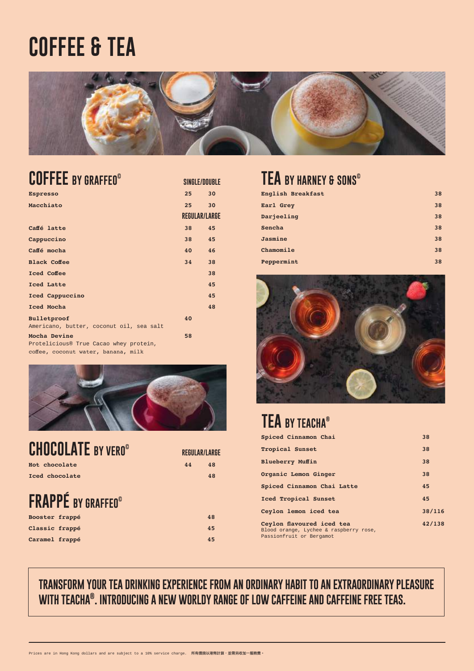### **TEA BY HARNEY & SONS©**

| English Breakfast | 38 |
|-------------------|----|
| Earl Grey         | 38 |
| Darjeeling        | 38 |
| Sencha            | 38 |
| Jasmine           | 38 |
| Chamomile         | 38 |
| Peppermint        | 38 |



### **FRAPPÉ BY GRAFFEO©**

| Booster frappé | 48 |
|----------------|----|
| Classic frappé | 45 |
| Caramel frappé | 45 |

|    | REGULAR/LARGE |
|----|---------------|
| 44 | 48            |
|    | 71 Q          |

| <b>CHOCOLATE BY VERO®</b> | <b>REGULAR/LAR</b> |  |
|---------------------------|--------------------|--|
| Hot chocolate             | 48<br>44           |  |
| Iced chocolate            | 48                 |  |

### **TEA BY TEACHA®**

| Spiced Cinnamon Chai        | 38 |
|-----------------------------|----|
| <b>Tropical Sunset</b>      | 38 |
| <b>Blueberry Muffin</b>     | 38 |
| Organic Lemon Ginger        | 38 |
| Spiced Cinnamon Chai Latte  | 45 |
| <b>Iced Tropical Sunset</b> | 45 |

| Ceylon lemon iced tea                                                                           | 38/116 |
|-------------------------------------------------------------------------------------------------|--------|
| Ceylon flavoured iced tea<br>Blood orange, Lychee & raspberry rose,<br>Passionfruit or Bergamot | 42/138 |

### **COFFEE BY GRAFFEO©**

**SINGLE/DOUBLE**

| <b>Espresso</b>                          | 25 <sub>2</sub> | 30                   |
|------------------------------------------|-----------------|----------------------|
| Macchiato                                | $25 -$          | 30                   |
|                                          |                 | <b>REGULAR/LARGE</b> |
| Caffé latte                              | 38              | 45                   |
| Cappuccino                               | 38              | 45                   |
| Caffé mocha                              | 40 <sup>°</sup> | 46                   |
| <b>Black Coffee</b>                      | 34              | 38                   |
| <b>Iced Coffee</b>                       |                 | 38                   |
| Iced Latte                               |                 | 45                   |
| Iced Cappuccino                          |                 | 45                   |
| Iced Mocha                               |                 | 48                   |
| Bulletproof                              | 40              |                      |
| Americano, butter, coconut oil, sea salt |                 |                      |
| Mocha Devine                             | 58              |                      |
| Protelicious® True Cacao whey protein,   |                 |                      |
| coffee, coconut water, banana, milk      |                 |                      |



# **COFFEE & TEA**